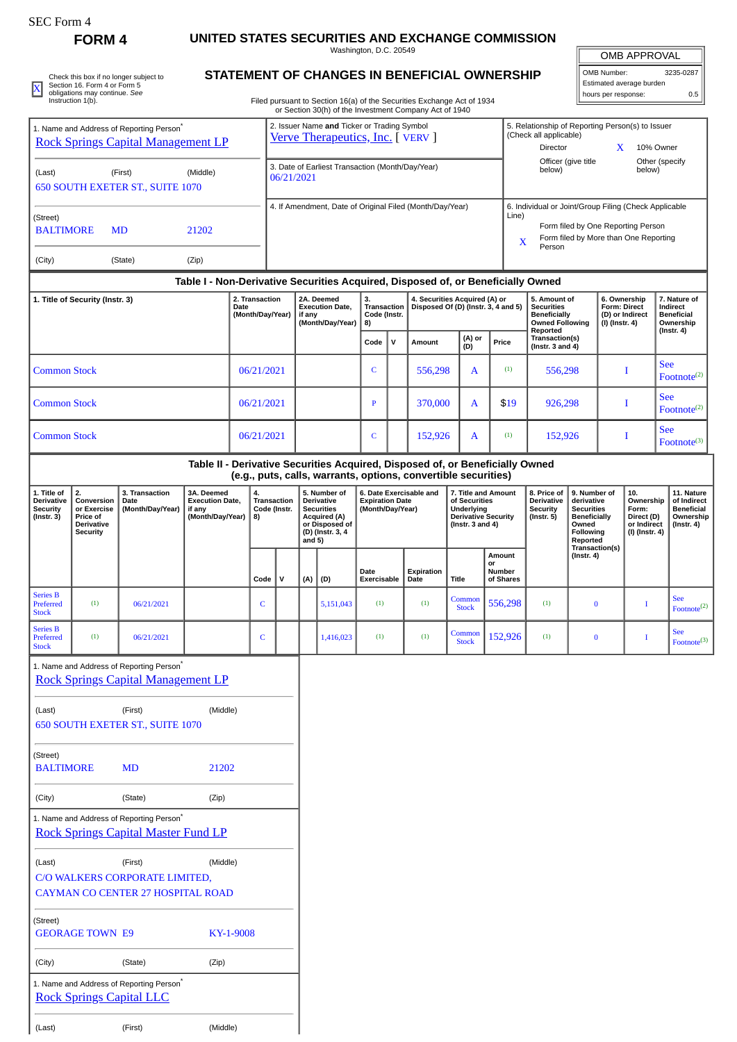# SEC Form 4

# **FORM 4 UNITED STATES SECURITIES AND EXCHANGE COMMISSION**

Washington, D.C. 20549

OMB APPROVAL OMB Number: 3235-0287

Estimated average burden

|                         | Check this box if no longer subject to |
|-------------------------|----------------------------------------|
| $\overline{\mathbf{x}}$ | Section 16. Form 4 or Form 5           |
|                         | obligations may continue. See          |
|                         | Instruction 1(b).                      |

(Last) (First) (Middle)

## **STATEMENT OF CHANGES IN BENEFICIAL OWNERSHIP**

| X                                                                       | SECTION TO FORM 4 OF FORM 5<br>obligations may continue. See<br>Instruction 1(b).   |                                                                                                    |                                                                    |           |                                                                                                                                                                                                                                                                                                                                                                                                                                                                                                                                                                                                                                                                                                                                                                                                                                                                                                                                                                                                                                                                                                                                                                                                                                                                                                                                                                                                                                                                                                                                                                                                                                                                                                                                                                                                                                                                                                                                                                                                                                                                                                                                                                                                                                                                                                                                                                                                                                                                                                                                                                                                                                                                                                                                                                                                                                    |  |  |  |  |  |  |  |  |  |  |  |                                | 0.5                                                                             |
|-------------------------------------------------------------------------|-------------------------------------------------------------------------------------|----------------------------------------------------------------------------------------------------|--------------------------------------------------------------------|-----------|------------------------------------------------------------------------------------------------------------------------------------------------------------------------------------------------------------------------------------------------------------------------------------------------------------------------------------------------------------------------------------------------------------------------------------------------------------------------------------------------------------------------------------------------------------------------------------------------------------------------------------------------------------------------------------------------------------------------------------------------------------------------------------------------------------------------------------------------------------------------------------------------------------------------------------------------------------------------------------------------------------------------------------------------------------------------------------------------------------------------------------------------------------------------------------------------------------------------------------------------------------------------------------------------------------------------------------------------------------------------------------------------------------------------------------------------------------------------------------------------------------------------------------------------------------------------------------------------------------------------------------------------------------------------------------------------------------------------------------------------------------------------------------------------------------------------------------------------------------------------------------------------------------------------------------------------------------------------------------------------------------------------------------------------------------------------------------------------------------------------------------------------------------------------------------------------------------------------------------------------------------------------------------------------------------------------------------------------------------------------------------------------------------------------------------------------------------------------------------------------------------------------------------------------------------------------------------------------------------------------------------------------------------------------------------------------------------------------------------------------------------------------------------------------------------------------------------|--|--|--|--|--|--|--|--|--|--|--|--------------------------------|---------------------------------------------------------------------------------|
|                                                                         |                                                                                     | 1. Name and Address of Reporting Person <sup>*</sup><br><b>Rock Springs Capital Management LP</b>  |                                                                    |           |                                                                                                                                                                                                                                                                                                                                                                                                                                                                                                                                                                                                                                                                                                                                                                                                                                                                                                                                                                                                                                                                                                                                                                                                                                                                                                                                                                                                                                                                                                                                                                                                                                                                                                                                                                                                                                                                                                                                                                                                                                                                                                                                                                                                                                                                                                                                                                                                                                                                                                                                                                                                                                                                                                                                                                                                                                    |  |  |  |  |  |  |  |  |  |  |  |                                |                                                                                 |
| (Last)                                                                  |                                                                                     | (First)<br>650 SOUTH EXETER ST., SUITE 1070                                                        | (Middle)                                                           |           | Lummada avenage paraer<br>hours per response:<br>Filed pursuant to Section 16(a) of the Securities Exchange Act of 1934<br>or Section 30(h) of the Investment Company Act of 1940<br>2. Issuer Name and Ticker or Trading Symbol<br>5. Relationship of Reporting Person(s) to Issuer<br>(Check all applicable)<br>Verve Therapeutics, Inc. [VERV]<br>X<br>10% Owner<br>Director<br>Officer (give title<br>Other (specify<br>3. Date of Earliest Transaction (Month/Day/Year)<br>below)<br>below)<br>06/21/2021<br>4. If Amendment, Date of Original Filed (Month/Day/Year)<br>6. Individual or Joint/Group Filing (Check Applicable<br>Line)<br>Form filed by One Reporting Person<br>Form filed by More than One Reporting<br>X<br>Person<br>Table I - Non-Derivative Securities Acquired, Disposed of, or Beneficially Owned<br>3.<br>4. Securities Acquired (A) or<br>2. Transaction<br>2A. Deemed<br>5. Amount of<br>6. Ownership<br>7. Nature of<br><b>Execution Date,</b><br>Disposed Of (D) (Instr. 3, 4 and 5)<br>Transaction<br><b>Securities</b><br><b>Form: Direct</b><br>Indirect<br>(Month/Day/Year)<br>if any<br>Code (Instr.<br><b>Beneficially</b><br>(D) or Indirect<br>(Month/Day/Year)<br><b>Owned Following</b><br>8)<br>(I) (Instr. 4)<br>Reported<br>$($ Instr. 4 $)$<br>(A) or<br>Transaction(s)<br>v<br>Code<br>Amount<br>Price<br>(D)<br>(Instr. $3$ and $4$ )<br><b>See</b><br>(1)<br>06/21/2021<br>$\mathsf{C}$<br>556,298<br>556,298<br>1<br>A<br><b>See</b><br>06/21/2021<br>\$19<br>926,298<br>I<br>370,000<br>A<br>$\mathbf{P}$<br><b>See</b><br>(1)<br>152,926<br>06/21/2021<br>C<br>152,926<br>A<br>I<br>Table II - Derivative Securities Acquired, Disposed of, or Beneficially Owned<br>(e.g., puts, calls, warrants, options, convertible securities)<br>5. Number of<br>6. Date Exercisable and<br>7. Title and Amount<br>8. Price of<br>9. Number of<br>10.<br>4.<br>Transaction<br>Derivative<br><b>Expiration Date</b><br>of Securities<br>Derivative<br>Ownership<br>derivative<br><b>Securities</b><br>Underlying<br>Form:<br>Code (Instr.<br>(Month/Day/Year)<br><b>Security</b><br><b>Securities</b><br>Direct (D)<br>8)<br><b>Acquired (A)</b><br><b>Derivative Security</b><br>$($ Instr. 5 $)$<br><b>Beneficially</b><br>or Disposed of<br>(Instr. $3$ and $4$ )<br>Owned<br>or Indirect<br>(D) (Instr. 3, 4<br>Following<br>(I) (Instr. 4)<br>and $5$ )<br>Reported<br>Transaction(s)<br>Amount<br>$($ Instr. 4 $)$<br>or<br>Date<br>Expiration<br>Number<br>Code<br>$\mathsf{v}$<br>(D)<br><b>Title</b><br>of Shares<br>(A)<br>Exercisable<br>Date<br><b>See</b><br>Common<br>556,298<br>(1)<br>(1)<br>(1)<br>$\mathsf{C}$<br>5,151,043<br>$\bf{0}$<br>I<br><b>Stock</b><br><b>See</b><br>Common<br>152,926<br>(1)<br>$\mathsf C$<br>1,416,023<br>(1)<br>(1)<br>$\bf{0}$<br>Stock |  |  |  |  |  |  |  |  |  |  |  |                                |                                                                                 |
| (Street)<br><b>BALTIMORE</b>                                            |                                                                                     | <b>MD</b>                                                                                          | 21202                                                              |           |                                                                                                                                                                                                                                                                                                                                                                                                                                                                                                                                                                                                                                                                                                                                                                                                                                                                                                                                                                                                                                                                                                                                                                                                                                                                                                                                                                                                                                                                                                                                                                                                                                                                                                                                                                                                                                                                                                                                                                                                                                                                                                                                                                                                                                                                                                                                                                                                                                                                                                                                                                                                                                                                                                                                                                                                                                    |  |  |  |  |  |  |  |  |  |  |  |                                |                                                                                 |
| (City)                                                                  |                                                                                     | (State)                                                                                            | (Zip)                                                              |           |                                                                                                                                                                                                                                                                                                                                                                                                                                                                                                                                                                                                                                                                                                                                                                                                                                                                                                                                                                                                                                                                                                                                                                                                                                                                                                                                                                                                                                                                                                                                                                                                                                                                                                                                                                                                                                                                                                                                                                                                                                                                                                                                                                                                                                                                                                                                                                                                                                                                                                                                                                                                                                                                                                                                                                                                                                    |  |  |  |  |  |  |  |  |  |  |  |                                |                                                                                 |
|                                                                         |                                                                                     |                                                                                                    |                                                                    |           |                                                                                                                                                                                                                                                                                                                                                                                                                                                                                                                                                                                                                                                                                                                                                                                                                                                                                                                                                                                                                                                                                                                                                                                                                                                                                                                                                                                                                                                                                                                                                                                                                                                                                                                                                                                                                                                                                                                                                                                                                                                                                                                                                                                                                                                                                                                                                                                                                                                                                                                                                                                                                                                                                                                                                                                                                                    |  |  |  |  |  |  |  |  |  |  |  |                                |                                                                                 |
| 1. Title of Security (Instr. 3)                                         |                                                                                     |                                                                                                    |                                                                    | Date      |                                                                                                                                                                                                                                                                                                                                                                                                                                                                                                                                                                                                                                                                                                                                                                                                                                                                                                                                                                                                                                                                                                                                                                                                                                                                                                                                                                                                                                                                                                                                                                                                                                                                                                                                                                                                                                                                                                                                                                                                                                                                                                                                                                                                                                                                                                                                                                                                                                                                                                                                                                                                                                                                                                                                                                                                                                    |  |  |  |  |  |  |  |  |  |  |  | <b>Beneficial</b><br>Ownership |                                                                                 |
|                                                                         |                                                                                     |                                                                                                    |                                                                    |           |                                                                                                                                                                                                                                                                                                                                                                                                                                                                                                                                                                                                                                                                                                                                                                                                                                                                                                                                                                                                                                                                                                                                                                                                                                                                                                                                                                                                                                                                                                                                                                                                                                                                                                                                                                                                                                                                                                                                                                                                                                                                                                                                                                                                                                                                                                                                                                                                                                                                                                                                                                                                                                                                                                                                                                                                                                    |  |  |  |  |  |  |  |  |  |  |  |                                |                                                                                 |
| <b>Common Stock</b>                                                     |                                                                                     |                                                                                                    |                                                                    |           |                                                                                                                                                                                                                                                                                                                                                                                                                                                                                                                                                                                                                                                                                                                                                                                                                                                                                                                                                                                                                                                                                                                                                                                                                                                                                                                                                                                                                                                                                                                                                                                                                                                                                                                                                                                                                                                                                                                                                                                                                                                                                                                                                                                                                                                                                                                                                                                                                                                                                                                                                                                                                                                                                                                                                                                                                                    |  |  |  |  |  |  |  |  |  |  |  |                                | Footnote $(2)$                                                                  |
| <b>Common Stock</b>                                                     |                                                                                     |                                                                                                    |                                                                    |           |                                                                                                                                                                                                                                                                                                                                                                                                                                                                                                                                                                                                                                                                                                                                                                                                                                                                                                                                                                                                                                                                                                                                                                                                                                                                                                                                                                                                                                                                                                                                                                                                                                                                                                                                                                                                                                                                                                                                                                                                                                                                                                                                                                                                                                                                                                                                                                                                                                                                                                                                                                                                                                                                                                                                                                                                                                    |  |  |  |  |  |  |  |  |  |  |  |                                | Footnote <sup>(2)</sup>                                                         |
| <b>Common Stock</b>                                                     |                                                                                     |                                                                                                    |                                                                    |           |                                                                                                                                                                                                                                                                                                                                                                                                                                                                                                                                                                                                                                                                                                                                                                                                                                                                                                                                                                                                                                                                                                                                                                                                                                                                                                                                                                                                                                                                                                                                                                                                                                                                                                                                                                                                                                                                                                                                                                                                                                                                                                                                                                                                                                                                                                                                                                                                                                                                                                                                                                                                                                                                                                                                                                                                                                    |  |  |  |  |  |  |  |  |  |  |  |                                | Footnote <sup>(3)</sup>                                                         |
|                                                                         |                                                                                     |                                                                                                    |                                                                    |           |                                                                                                                                                                                                                                                                                                                                                                                                                                                                                                                                                                                                                                                                                                                                                                                                                                                                                                                                                                                                                                                                                                                                                                                                                                                                                                                                                                                                                                                                                                                                                                                                                                                                                                                                                                                                                                                                                                                                                                                                                                                                                                                                                                                                                                                                                                                                                                                                                                                                                                                                                                                                                                                                                                                                                                                                                                    |  |  |  |  |  |  |  |  |  |  |  |                                |                                                                                 |
| 1. Title of<br><b>Derivative</b><br><b>Security</b><br>$($ Instr. 3 $)$ | 2.<br>Conversion<br>or Exercise<br>Price of<br><b>Derivative</b><br><b>Security</b> | 3. Transaction<br>Date<br>(Month/Day/Year)                                                         | 3A. Deemed<br><b>Execution Date,</b><br>if any<br>(Month/Day/Year) |           |                                                                                                                                                                                                                                                                                                                                                                                                                                                                                                                                                                                                                                                                                                                                                                                                                                                                                                                                                                                                                                                                                                                                                                                                                                                                                                                                                                                                                                                                                                                                                                                                                                                                                                                                                                                                                                                                                                                                                                                                                                                                                                                                                                                                                                                                                                                                                                                                                                                                                                                                                                                                                                                                                                                                                                                                                                    |  |  |  |  |  |  |  |  |  |  |  |                                | 11. Nature<br>of Indirect<br><b>Beneficial</b><br>Ownership<br>$($ Instr. 4 $)$ |
|                                                                         |                                                                                     |                                                                                                    |                                                                    |           |                                                                                                                                                                                                                                                                                                                                                                                                                                                                                                                                                                                                                                                                                                                                                                                                                                                                                                                                                                                                                                                                                                                                                                                                                                                                                                                                                                                                                                                                                                                                                                                                                                                                                                                                                                                                                                                                                                                                                                                                                                                                                                                                                                                                                                                                                                                                                                                                                                                                                                                                                                                                                                                                                                                                                                                                                                    |  |  |  |  |  |  |  |  |  |  |  |                                |                                                                                 |
| <b>Series B</b><br>Preferred<br><b>Stock</b>                            | (1)                                                                                 | 06/21/2021                                                                                         |                                                                    |           |                                                                                                                                                                                                                                                                                                                                                                                                                                                                                                                                                                                                                                                                                                                                                                                                                                                                                                                                                                                                                                                                                                                                                                                                                                                                                                                                                                                                                                                                                                                                                                                                                                                                                                                                                                                                                                                                                                                                                                                                                                                                                                                                                                                                                                                                                                                                                                                                                                                                                                                                                                                                                                                                                                                                                                                                                                    |  |  |  |  |  |  |  |  |  |  |  |                                | Footnote <sup>(2)</sup>                                                         |
| <b>Series B</b><br>Preferred<br><b>Stock</b>                            | (1)                                                                                 | 06/21/2021                                                                                         |                                                                    |           |                                                                                                                                                                                                                                                                                                                                                                                                                                                                                                                                                                                                                                                                                                                                                                                                                                                                                                                                                                                                                                                                                                                                                                                                                                                                                                                                                                                                                                                                                                                                                                                                                                                                                                                                                                                                                                                                                                                                                                                                                                                                                                                                                                                                                                                                                                                                                                                                                                                                                                                                                                                                                                                                                                                                                                                                                                    |  |  |  |  |  |  |  |  |  |  |  |                                | $\text{Footnote}^{(3)}$                                                         |
|                                                                         |                                                                                     | 1. Name and Address of Reporting Person <sup>*</sup><br><b>Rock Springs Capital Management LP</b>  |                                                                    |           |                                                                                                                                                                                                                                                                                                                                                                                                                                                                                                                                                                                                                                                                                                                                                                                                                                                                                                                                                                                                                                                                                                                                                                                                                                                                                                                                                                                                                                                                                                                                                                                                                                                                                                                                                                                                                                                                                                                                                                                                                                                                                                                                                                                                                                                                                                                                                                                                                                                                                                                                                                                                                                                                                                                                                                                                                                    |  |  |  |  |  |  |  |  |  |  |  |                                |                                                                                 |
| (Last)                                                                  |                                                                                     | (First)<br>650 SOUTH EXETER ST., SUITE 1070                                                        | (Middle)                                                           |           |                                                                                                                                                                                                                                                                                                                                                                                                                                                                                                                                                                                                                                                                                                                                                                                                                                                                                                                                                                                                                                                                                                                                                                                                                                                                                                                                                                                                                                                                                                                                                                                                                                                                                                                                                                                                                                                                                                                                                                                                                                                                                                                                                                                                                                                                                                                                                                                                                                                                                                                                                                                                                                                                                                                                                                                                                                    |  |  |  |  |  |  |  |  |  |  |  |                                |                                                                                 |
| (Street)<br><b>BALTIMORE</b>                                            |                                                                                     | <b>MD</b>                                                                                          | 21202                                                              |           |                                                                                                                                                                                                                                                                                                                                                                                                                                                                                                                                                                                                                                                                                                                                                                                                                                                                                                                                                                                                                                                                                                                                                                                                                                                                                                                                                                                                                                                                                                                                                                                                                                                                                                                                                                                                                                                                                                                                                                                                                                                                                                                                                                                                                                                                                                                                                                                                                                                                                                                                                                                                                                                                                                                                                                                                                                    |  |  |  |  |  |  |  |  |  |  |  |                                |                                                                                 |
| (City)                                                                  |                                                                                     | (State)                                                                                            | (Zip)                                                              |           |                                                                                                                                                                                                                                                                                                                                                                                                                                                                                                                                                                                                                                                                                                                                                                                                                                                                                                                                                                                                                                                                                                                                                                                                                                                                                                                                                                                                                                                                                                                                                                                                                                                                                                                                                                                                                                                                                                                                                                                                                                                                                                                                                                                                                                                                                                                                                                                                                                                                                                                                                                                                                                                                                                                                                                                                                                    |  |  |  |  |  |  |  |  |  |  |  |                                |                                                                                 |
|                                                                         |                                                                                     | 1. Name and Address of Reporting Person <sup>*</sup><br><b>Rock Springs Capital Master Fund LP</b> |                                                                    |           |                                                                                                                                                                                                                                                                                                                                                                                                                                                                                                                                                                                                                                                                                                                                                                                                                                                                                                                                                                                                                                                                                                                                                                                                                                                                                                                                                                                                                                                                                                                                                                                                                                                                                                                                                                                                                                                                                                                                                                                                                                                                                                                                                                                                                                                                                                                                                                                                                                                                                                                                                                                                                                                                                                                                                                                                                                    |  |  |  |  |  |  |  |  |  |  |  |                                |                                                                                 |
| (Last)                                                                  |                                                                                     | (First)<br>C/O WALKERS CORPORATE LIMITED,                                                          | (Middle)                                                           |           |                                                                                                                                                                                                                                                                                                                                                                                                                                                                                                                                                                                                                                                                                                                                                                                                                                                                                                                                                                                                                                                                                                                                                                                                                                                                                                                                                                                                                                                                                                                                                                                                                                                                                                                                                                                                                                                                                                                                                                                                                                                                                                                                                                                                                                                                                                                                                                                                                                                                                                                                                                                                                                                                                                                                                                                                                                    |  |  |  |  |  |  |  |  |  |  |  |                                |                                                                                 |
| (Street)                                                                | <b>GEORAGE TOWN E9</b>                                                              | <b>CAYMAN CO CENTER 27 HOSPITAL ROAD</b>                                                           |                                                                    | KY-1-9008 |                                                                                                                                                                                                                                                                                                                                                                                                                                                                                                                                                                                                                                                                                                                                                                                                                                                                                                                                                                                                                                                                                                                                                                                                                                                                                                                                                                                                                                                                                                                                                                                                                                                                                                                                                                                                                                                                                                                                                                                                                                                                                                                                                                                                                                                                                                                                                                                                                                                                                                                                                                                                                                                                                                                                                                                                                                    |  |  |  |  |  |  |  |  |  |  |  |                                |                                                                                 |
| (City)                                                                  |                                                                                     | (State)                                                                                            | (Zip)                                                              |           |                                                                                                                                                                                                                                                                                                                                                                                                                                                                                                                                                                                                                                                                                                                                                                                                                                                                                                                                                                                                                                                                                                                                                                                                                                                                                                                                                                                                                                                                                                                                                                                                                                                                                                                                                                                                                                                                                                                                                                                                                                                                                                                                                                                                                                                                                                                                                                                                                                                                                                                                                                                                                                                                                                                                                                                                                                    |  |  |  |  |  |  |  |  |  |  |  |                                |                                                                                 |
|                                                                         |                                                                                     | 1. Name and Address of Reporting Person <sup>*</sup><br><b>Rock Springs Capital LLC</b>            |                                                                    |           |                                                                                                                                                                                                                                                                                                                                                                                                                                                                                                                                                                                                                                                                                                                                                                                                                                                                                                                                                                                                                                                                                                                                                                                                                                                                                                                                                                                                                                                                                                                                                                                                                                                                                                                                                                                                                                                                                                                                                                                                                                                                                                                                                                                                                                                                                                                                                                                                                                                                                                                                                                                                                                                                                                                                                                                                                                    |  |  |  |  |  |  |  |  |  |  |  |                                |                                                                                 |